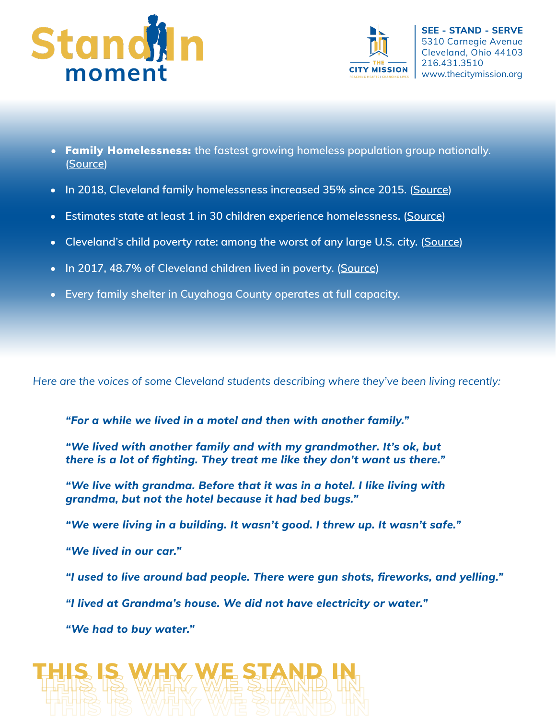



- Family Homelessness: **the fastest growing homeless population group nationally. [\(Source](https://www.doorwaysva.org/our-work/education-advocacy/the-facts-about-family-homelessness/))**
- **In 2018, Cleveland family homelessness increased 35% since 2015. [\(Source\)](http://www.neoch.org/2019-overview-of-the-numbers)**
- **Estimates state at least 1 in 30 children experience homelessness. [\(Source\)](https://www.bassukcenter.org/wp-content/uploads/2015/11/Services-Matter.pdf)**
- **Cleveland's child poverty rate: among the worst of any large U.S. city. [\(Source\)](https://www.communitysolutions.com/cleveland-dead-last-child-poverty/)**
- **In 2017, 48.7% of Cleveland children lived in poverty. [\(Source\)](https://www.communitysolutions.com/cleveland-dead-last-child-poverty/)**
- **Every family shelter in Cuyahoga County operates at full capacity.**

Here are the voices of some Cleveland students describing where they've been living recentl*y:*

*"For a while we lived in a motel and then with another family."*

*"We lived with another family and with my grandmother. It's ok, but there is <sup>a</sup> lot of fghting. They treat me like they don't want us there."*

*"We live with grandma. Before that it was in a hotel. I like living with grandma, but not the hotel because it had bed bugs."*

*"We were living in a building. It wasn't good. I threw up. It wasn't safe."*

*"We lived in our car."*

 *"I used to live around bad people. There were gun shots, freworks, and yelling."*

*"I lived at Grandma's house. We did not have electricity or water."* 

*"We had to buy water."*

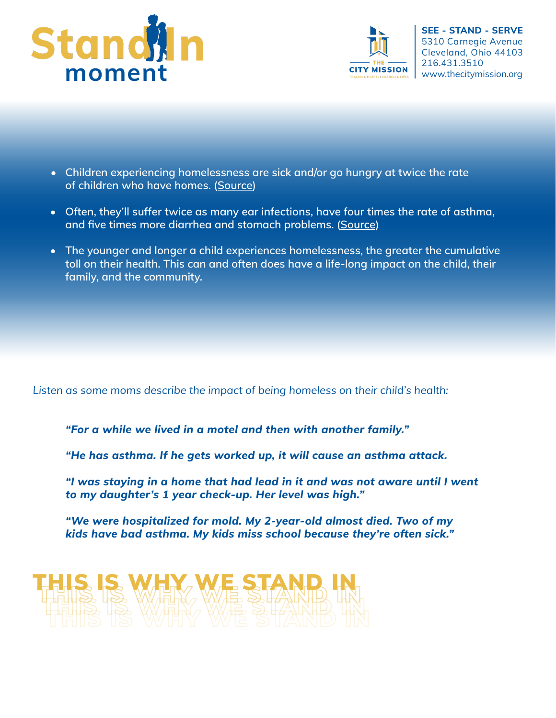



- **Children experiencing homelessness are sick and/or go hungry at twice the rate of children who have homes. ([Source](https://eclkc.ohs.acf.hhs.gov/publication/caring-health-wellness-children-experiencing-homelessness))**
- **Often, they'll suffer twice as many ear infections, have four times the rate of asthma, and fve times more diarrhea and stomach problems. ([Source\)](https://www.nctsn.org/sites/default/files/resources/facts_on_trauma_and_homeless_children.pdf)**
- **The younger and longer a child experiences homelessness, the greater the cumulative toll on their health. This can and often does have a life-long impact on the child, their family, and the community.**

Listen as some moms describe the impact of being homeless on their child's health:

*"For a while we lived in a motel and then with another family."*

*"He has asthma. If he gets worked up, it will cause an asthma attack.*

*"I was staying in a home that had lead in it and was not aware until I went to my daughter's 1 year check-up. Her level was high."*

 *"We were hospitalized for mold. My 2-year-old almost died. Two of my kids have bad asthma. My kids miss school because they're often sick."*

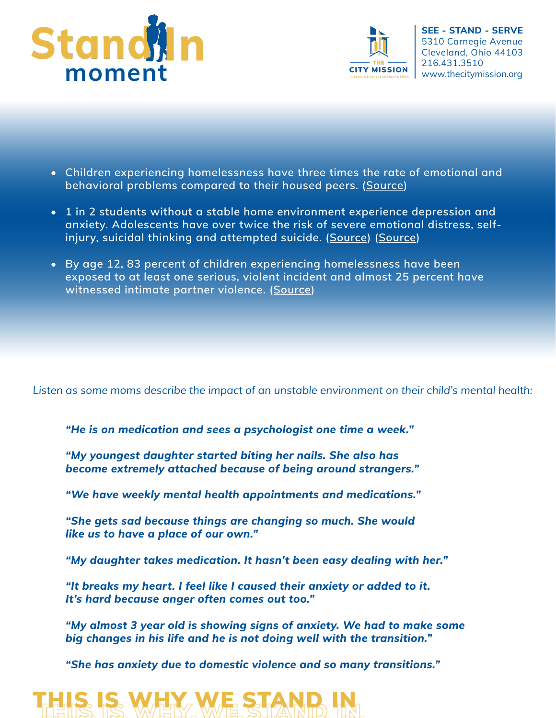



- **Children experiencing homelessness have three times the rate of emotional and behavioral problems compared to their housed peers. ([Source\)](https://eclkc.ohs.acf.hhs.gov/publication/caring-health-wellness-children-experiencing-homelessness)**
- **1 in 2 students without a stable home environment experience depression and anxiety. Adolescents have over twice the risk of severe emotional distress, selfinjury, suicidal thinking and attempted suicide. ([Source](https://pediatrics.aappublications.org/content/141/4/e20171767)) ([Source\)](https://www.apa.org/pi/families/poverty)**
- **By age 12, 83 percent of children experiencing homelessness have been exposed to at least one serious, violent incident and almost 25 percent have witnessed intimate partner violence. ([Source\)](https://www.first5la.org/files/ChildHomelessnessTrauma.pdf)**

Listen as some moms describe the impact of an unstable environment on their child's mental health:

*"He is on medication and sees a psychologist one time a week."*

*"My youngest daughter started biting her nails. She also has become extremely attached because of being around strangers."*

*"We have weekly mental health appointments and medications."*

*"She gets sad because things are changing so much. She would like us to have a place of our own."*

*"My daughter takes medication. It hasn't been easy dealing with her."*

*"It breaks my heart. I feel like I caused their anxiety or added to it. It's hard because anger often comes out too."*

*"My almost 3 year old is showing signs of anxiety. We had to make some big changes in his life and he is not doing well with the transition."*

*"She has anxiety due to domestic violence and so many transitions."*

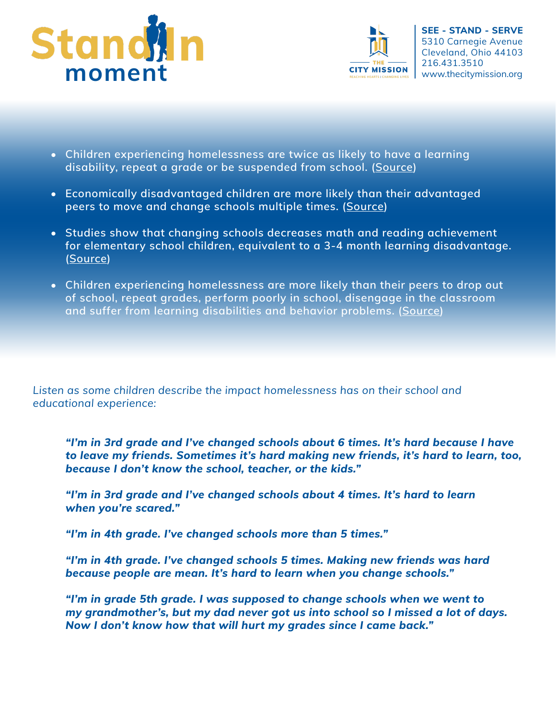



- **Children experiencing homelessness are twice as likely to have a learning disability, repeat a grade or be suspended from school. ([Source\)](https://www.apa.org/pi/families/poverty)**
- **Economically disadvantaged children are more likely than their advantaged peers to move and change schools multiple times. ([Source\)](https://www.edweek.org/ew/issues/student-mobility/index.html)**
- **Studies show that changing schools decreases math and reading achievement for elementary school children, equivalent to a 3-4 month learning disadvantage. [\(Source\)](https://www.edweek.org/ew/issues/student-mobility/index.html)**
- **Children experiencing homelessness are more likely than their peers to drop out of school, repeat grades, perform poorly in school, disengage in the classroom and suffer from learning disabilities and behavior problems. ([Source\)](http://firesteelwa.org/2014/09/homelessness-and-academic-achievement-the-impact-of-childhood-stress-on-school-performance/)**

Listen as some children describe the impact homelessness has on their school and educational experience:

*"I'm in 3rd grade and I've changed schools about 6 times. It's hard because I have to leave my friends. Sometimes it's hard making new friends, it's hard to learn, too, because I don't know the school, teacher, or the kids."*

*"I'm in 3rd grade and I've changed schools about 4 times. It's hard to learn when you're scared."*

*"I'm in 4th grade. I've changed schools more than 5 times."*

*"I'm in 4th grade. I've changed schools 5 times. Making new friends was hard because people are mean. It's hard to learn when you change schools."*

*"I'm in grade 5th grade. I was supposed to change schools when we went to my grandmother's, but my dad never got us into school so I missed a lot of days. Now I don't know how that will hurt my grades since I came back."*